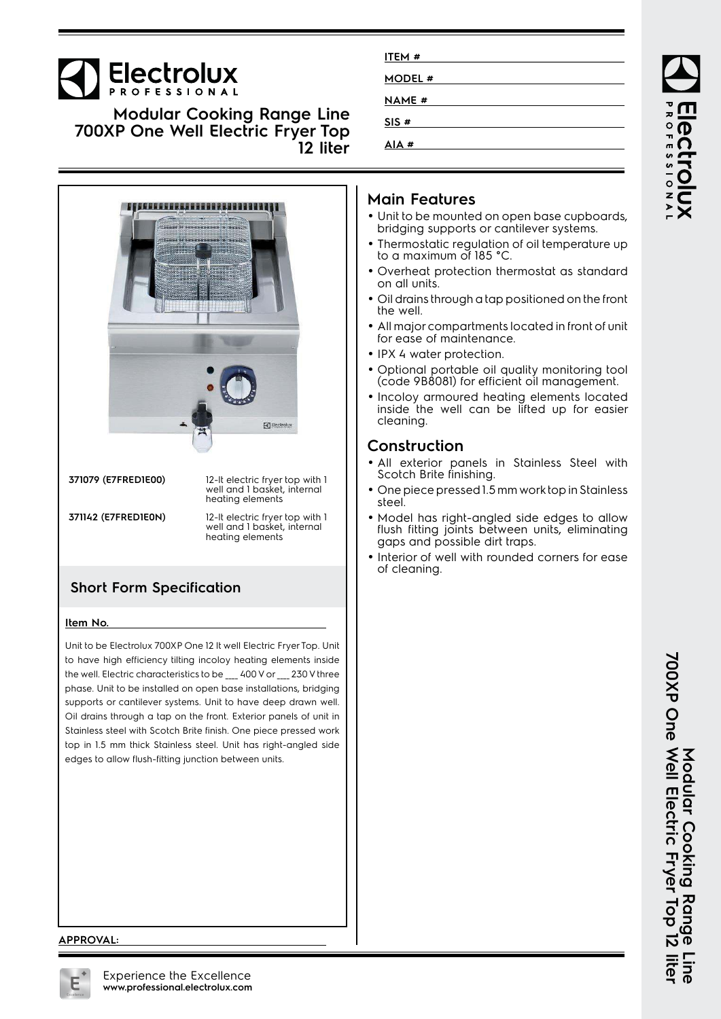# Electrolux

**Modular Cooking Range Line 700XP One Well Electric Fryer Top 12 liter**



**371079 (E7FRED1E00)** 12-lt electric fryer top with 1 well and 1 basket, internal heating elements **371142 (E7FRED1E0N)** 12-lt electric fryer top with 1<br>well and 1 basket, internal

## **Short Form Specification**

#### **Item No.**

Unit to be Electrolux 700XP One 12 lt well Electric Fryer Top. Unit to have high efficiency tilting incoloy heating elements inside the well. Electric characteristics to be \_\_\_\_ 400 V or \_\_\_\_ 230 V three phase. Unit to be installed on open base installations, bridging supports or cantilever systems. Unit to have deep drawn well. Oil drains through a tap on the front. Exterior panels of unit in Stainless steel with Scotch Brite finish. One piece pressed work top in 1.5 mm thick Stainless steel. Unit has right-angled side edges to allow flush-fitting junction between units.

| ITEM #        |  |
|---------------|--|
| <b>MODEL#</b> |  |
| <b>NAME</b> # |  |
| SIS #         |  |
| AIA#          |  |
|               |  |

## **Main Features**

- Unit to be mounted on open base cupboards, bridging supports or cantilever systems.
- Thermostatic regulation of oil temperature up to a maximum of 185 °C.
- • Overheat protection thermostat as standard on all units.
- Oil drains through a tap positioned on the front the well.
- All major compartments located in front of unit for ease of maintenance.
- IPX 4 water protection.
- Optional portable oil quality monitoring tool (code 9B8081) for efficient oil management.
- Incoloy armoured heating elements located inside the well can be lifted up for easier cleaning.

### **Construction**

- All exterior panels in Stainless Steel with Scotch Brite finishing.
- One piece pressed 1.5 mm work top in Stainless steel.
- • Model has right-angled side edges to allow flush fitting joints between units, eliminating gaps and possible dirt traps.
- Interior of well with rounded corners for ease of cleaning.

#### **APPROVAL:**

heating elements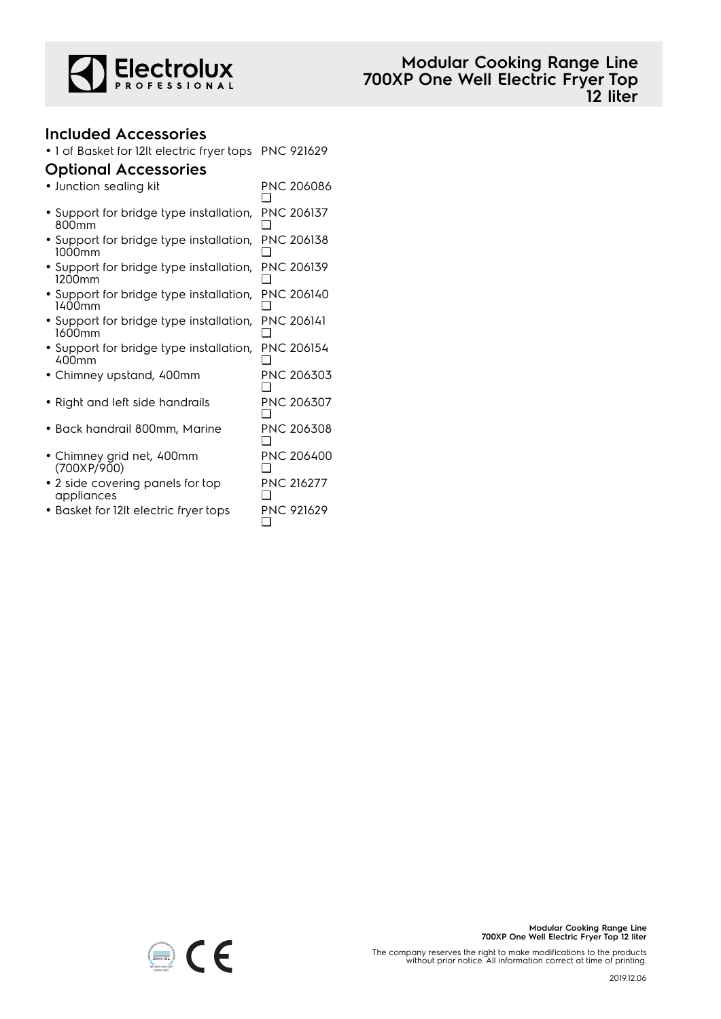

## **Included Accessories**

• 1 of Basket for 12lt electric fryer tops PNC 921629

## **Optional Accessories**

| • Junction sealing kit                                       | PNC 206086        |
|--------------------------------------------------------------|-------------------|
| • Support for bridge type installation,<br>800 <sub>mm</sub> | PNC 206137        |
| • Support for bridge type installation,<br>1000mm            | PNC 206138        |
| • Support for bridge type installation,<br>1200mm            | <b>PNC 206139</b> |
| • Support for bridge type installation,<br>1400mm            | PNC 206140        |
| • Support for bridge type installation,<br>1600mm            | <b>PNC 206141</b> |
| • Support for bridge type installation,<br>400mm             | PNC 206154        |
| Chimney upstand, 400mm                                       | PNC 206303        |
| • Right and left side handrails                              | PNC 206307        |
| Back handrail 800mm, Marine                                  | PNC 206308        |
| • Chimney grid net, 400mm<br>(700XP/900)                     | PNC 206400        |
| • 2 side covering panels for top<br>appliances               | <b>PNC 216277</b> |
| • Basket for 12It electric fryer tops                        | PNC 921629        |



The company reserves the right to make modifications to the products without prior notice. All information correct at time of printing.